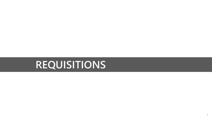# **REQUISITIONS**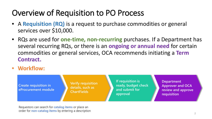## Overview of Requisition to PO Process

- A **Requisition (RQ)** is a request to purchase commodities or general services over \$10,000.
- RQs are used for **one-time, non-recurring** purchases. If a Department has several recurring RQs, or there is an **ongoing or annual need** for certain commodities or general services, OCA recommends initiating a **Term Contract.**
- **Workflow:**

**Create requisition in eProcurement module**  **Verify requisition details, such as ChartFields**

**If requisition is ready, budget check and submit for approval**

**Department Approver and OCA review and approve requisition**

Requestors can search for **catalog items** or place an order for **non-catalog items** by entering a description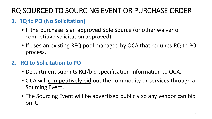### RQ SOURCED TO SOURCING EVENT OR PURCHASE ORDER

#### **1. RQ to PO (No Solicitation)**

- If the purchase is an approved Sole Source (or other waiver of competitive solicitation approved)
- If uses an existing RFQ pool managed by OCA that requires RQ to PO process.

#### **2. RQ to Solicitation to PO**

- Department submits RQ/bid specification information to OCA.
- OCA will competitively bid out the commodity or services through a Sourcing Event.
- The Sourcing Event will be advertised publicly so any vendor can bid on it.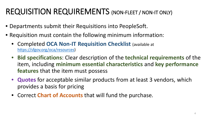## REQUISITION REQUIREMENTS (NON-FLEET / NON-IT ONLY)

- Departments submit their Requisitions into PeopleSoft.
- Requisition must contain the following minimum information:
	- Completed **OCA Non-IT Requisition Checklist** (available at [https://sfgov.org/oca/resources\)](https://sfgov.org/oca/resources)
	- **Bid specifications**: Clear description of the **technical requirements** of the item, including **minimum essential characteristics** and **key performance features** that the item must possess
	- **Quotes** for acceptable similar products from at least 3 vendors, which provides a basis for pricing
	- Correct **Chart of Accounts** that will fund the purchase.